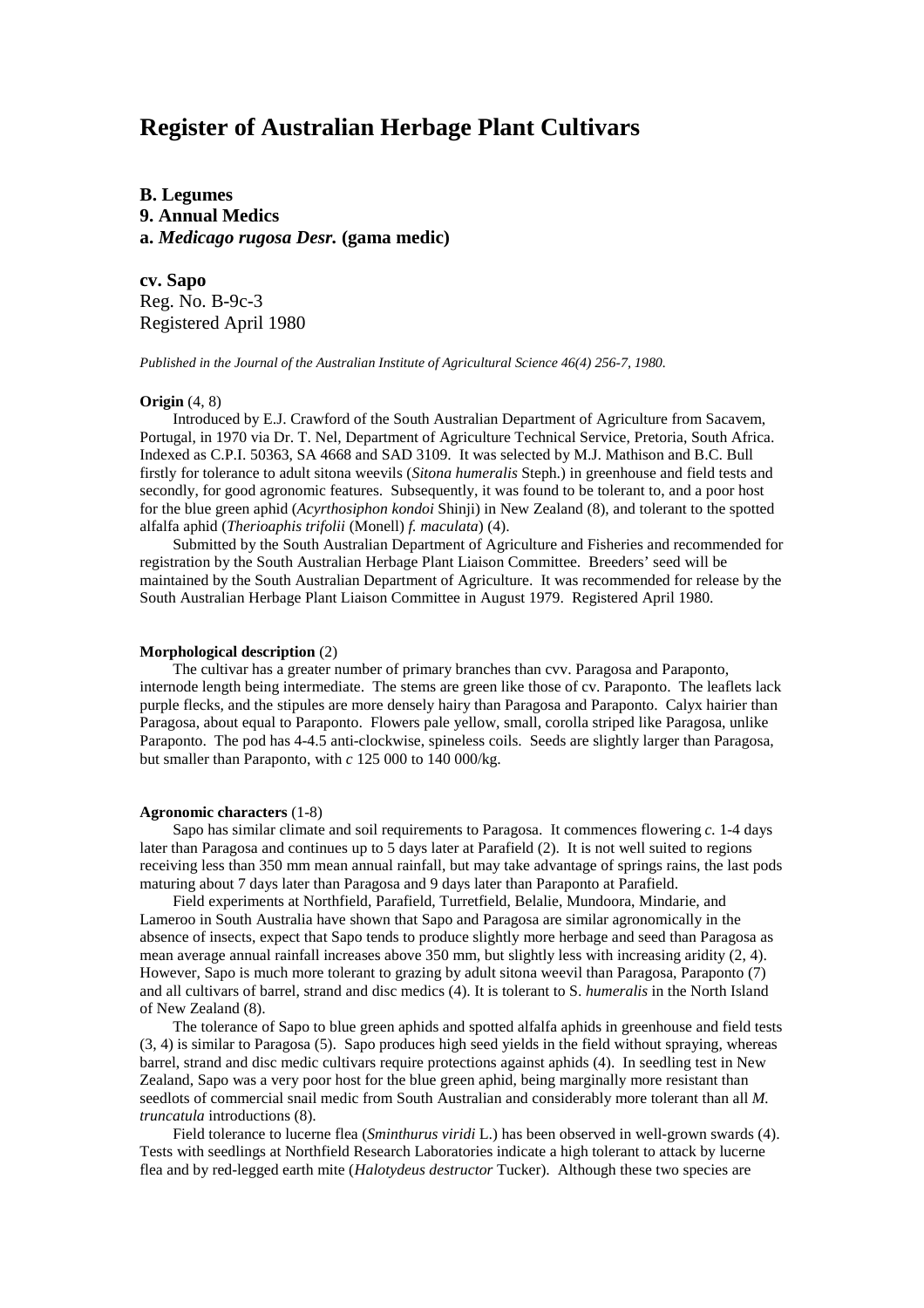# **Register of Australian Herbage Plant Cultivars**

**B. Legumes 9. Annual Medics a.** *Medicago rugosa Desr.* **(gama medic)**

**cv. Sapo** Reg. No. B-9c-3 Registered April 1980

*Published in the Journal of the Australian Institute of Agricultural Science 46(4) 256-7, 1980.*

# **Origin** (4, 8)

Introduced by E.J. Crawford of the South Australian Department of Agriculture from Sacavem, Portugal, in 1970 via Dr. T. Nel, Department of Agriculture Technical Service, Pretoria, South Africa. Indexed as C.P.I. 50363, SA 4668 and SAD 3109. It was selected by M.J. Mathison and B.C. Bull firstly for tolerance to adult sitona weevils (*Sitona humeralis* Steph.) in greenhouse and field tests and secondly, for good agronomic features. Subsequently, it was found to be tolerant to, and a poor host for the blue green aphid (*Acyrthosiphon kondoi* Shinji) in New Zealand (8), and tolerant to the spotted alfalfa aphid (*Therioaphis trifolii* (Monell) *f. maculata*) (4).

Submitted by the South Australian Department of Agriculture and Fisheries and recommended for registration by the South Australian Herbage Plant Liaison Committee. Breeders' seed will be maintained by the South Australian Department of Agriculture. It was recommended for release by the South Australian Herbage Plant Liaison Committee in August 1979. Registered April 1980.

#### **Morphological description** (2)

The cultivar has a greater number of primary branches than cvv. Paragosa and Paraponto, internode length being intermediate. The stems are green like those of cv. Paraponto. The leaflets lack purple flecks, and the stipules are more densely hairy than Paragosa and Paraponto. Calyx hairier than Paragosa, about equal to Paraponto. Flowers pale yellow, small, corolla striped like Paragosa, unlike Paraponto. The pod has 4-4.5 anti-clockwise, spineless coils. Seeds are slightly larger than Paragosa, but smaller than Paraponto, with *c* 125 000 to 140 000/kg.

## **Agronomic characters** (1-8)

Sapo has similar climate and soil requirements to Paragosa. It commences flowering *c.* 1-4 days later than Paragosa and continues up to 5 days later at Parafield (2). It is not well suited to regions receiving less than 350 mm mean annual rainfall, but may take advantage of springs rains, the last pods maturing about 7 days later than Paragosa and 9 days later than Paraponto at Parafield.

Field experiments at Northfield, Parafield, Turretfield, Belalie, Mundoora, Mindarie, and Lameroo in South Australia have shown that Sapo and Paragosa are similar agronomically in the absence of insects, expect that Sapo tends to produce slightly more herbage and seed than Paragosa as mean average annual rainfall increases above 350 mm, but slightly less with increasing aridity (2, 4). However, Sapo is much more tolerant to grazing by adult sitona weevil than Paragosa, Paraponto (7) and all cultivars of barrel, strand and disc medics (4). It is tolerant to S. *humeralis* in the North Island of New Zealand (8).

The tolerance of Sapo to blue green aphids and spotted alfalfa aphids in greenhouse and field tests (3, 4) is similar to Paragosa (5). Sapo produces high seed yields in the field without spraying, whereas barrel, strand and disc medic cultivars require protections against aphids (4). In seedling test in New Zealand, Sapo was a very poor host for the blue green aphid, being marginally more resistant than seedlots of commercial snail medic from South Australian and considerably more tolerant than all *M. truncatula* introductions (8).

Field tolerance to lucerne flea (*Sminthurus viridi* L.) has been observed in well-grown swards (4). Tests with seedlings at Northfield Research Laboratories indicate a high tolerant to attack by lucerne flea and by red-legged earth mite (*Halotydeus destructor* Tucker). Although these two species are